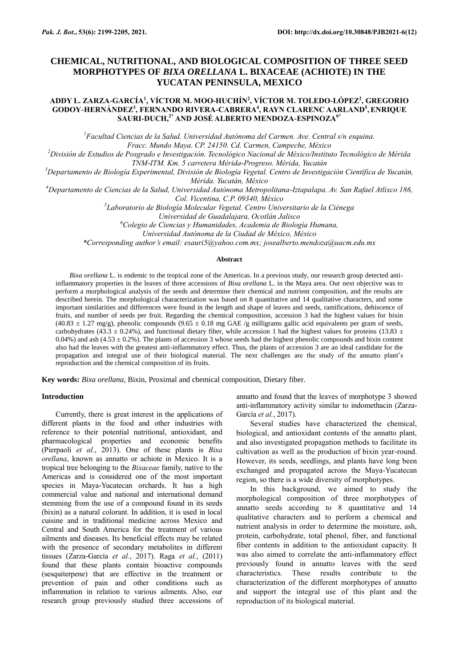# **CHEMICAL, NUTRITIONAL, AND BIOLOGICAL COMPOSITION OF THREE SEED MORPHOTYPES OF** *BIXA ORELLANA* **L. BIXACEAE (ACHIOTE) IN THE YUCATAN PENINSULA, MEXICO**

# **ADDY L. ZARZA-GARCÍA<sup>1</sup> , VÍCTOR M. MOO-HUCHÍN<sup>2</sup> , VÍCTOR M. TOLEDO-LÓPEZ<sup>2</sup> , GREGORIO GODOY-HERNÁNDEZ<sup>3</sup> , FERNANDO RIVERA-CABRERA<sup>4</sup> , RAYN CLARENC AARLAND<sup>5</sup> , ENRIQUE SAURI-DUCH,2\* AND JOSÉ ALBERTO MENDOZA-ESPINOZA6\***

*<sup>1</sup>Facultad Ciencias de la Salud. Universidad Autónoma del Carmen. Ave. Central s/n esquina. Fracc. Mundo Maya. CP. 24150. Cd. Carmen, Campeche, México*

*<sup>2</sup>División de Estudios de Posgrado e Investigación. Tecnológico Nacional de México/Instituto Tecnológico de Mérida TNM-ITM. Km. 5 carretera Mérida-Progreso. Mérida, Yucatán*

*<sup>3</sup>Departamento de Biología Experimental, División de Biología Vegetal. Centro de Investigación Científica de Yucatán, Mérida. Yucatán, México*

*<sup>4</sup>Departamento de Ciencias de la Salud, Universidad Autónoma Metropolitana-Iztapalapa. Av. San Rafael Atlixco 186,* 

*Col. Vicentina, C.P. 09340, México*

*5 Laboratorio de Biología Molecular Vegetal. Centro Universitario de la Ciénega* 

*Universidad de Guadalajara, Ocotlán Jalisco*

*<sup>6</sup>Colegio de Ciencias y Humanidades, Academia de Biología Humana,* 

*Universidad Autónoma de la Ciudad de México, México*

*\*Corresponding author's email[: esauri5@yahoo.com.mx;](mailto:esauri5@yahoo.com.mx) [josealberto.mendoza@uacm.edu.mx](mailto:josealberto.mendoza@uacm.edu.mx)*

#### **Abstract**

*Bixa orellana* L. is endemic to the tropical zone of the Americas. In a previous study, our research group detected antiinflammatory properties in the leaves of three accessions of *Bixa orellana* L. in the Maya area. Our next objective was to perform a morphological analysis of the seeds and determine their chemical and nutrient composition, and the results are described herein. The morphological characterization was based on 8 quantitative and 14 qualitative characters, and some important similarities and differences were found in the length and shape of leaves and seeds, ramifications, dehiscence of fruits, and number of seeds per fruit. Regarding the chemical composition, accession 3 had the highest values for bixin (40.83  $\pm$  1.27 mg/g), phenolic compounds (9.65  $\pm$  0.18 mg GAE /g milligrams gallic acid equivalents per gram of seeds, carbohydrates (43.3  $\pm$  0.24%), and functional dietary fiber, while accession 1 had the highest values for proteins (13.83  $\pm$ 0.04%) and ash  $(4.53 \pm 0.2)$ . The plants of accession 3 whose seeds had the highest phenolic compounds and bixin content also had the leaves with the greatest anti-inflammatory effect. Thus, the plants of accession 3 are an ideal candidate for the propagation and integral use of their biological material. The next challenges are the study of the annatto plant's reproduction and the chemical composition of its fruits.

**Key words:** *Bixa orellana*, Bixin, Proximal and chemical composition, Dietary fiber.

## **Introduction**

Currently, there is great interest in the applications of different plants in the food and other industries with reference to their potential nutritional, antioxidant, and pharmacological properties and economic benefits [\(Pierpaoli](#page-6-0) *et al.*, 2013). One of these plants is *Bixa orellana*, known as annatto or achiote in Mexico. It is a tropical tree belonging to the *Bixaceae* family, native to the Americas and is considered one of the most important species in Maya-Yucatecan orchards. It has a high commercial value and national and international demand stemming from the use of a compound found in its seeds (bixin) as a natural colorant. In addition, it is used in local cuisine and in traditional medicine across Mexico and Central and South America for the treatment of various ailments and diseases. Its beneficial effects may be related with the presence of secondary metabolites in different tissues [\(Zarza-García](#page-6-1) *et al.*, 2017). Raga *et al.*[, \(2011\)](#page-6-2) found that these plants contain bioactive compounds (sesquiterpene) that are effective in the treatment or prevention of pain and other conditions such as inflammation in relation to various ailments. Also, our research group previously studied three accessions of annatto and found that the leaves of morphotype 3 showed anti-inflammatory activity similar to indomethacin [\(Zarza-](#page-6-1)García *et al.*[, 2017\)](#page-6-1).

Several studies have characterized the chemical, biological, and antioxidant contents of the annatto plant, and also investigated propagation methods to facilitate its cultivation as well as the production of bixin year-round. However, its seeds, seedlings, and plants have long been exchanged and propagated across the Maya-Yucatecan region, so there is a wide diversity of morphotypes.

In this background, we aimed to study the morphological composition of three morphotypes of annatto seeds according to 8 quantitative and 14 qualitative characters and to perform a chemical and nutrient analysis in order to determine the moisture, ash, protein, carbohydrate, total phenol, fiber, and functional fiber contents in addition to the antioxidant capacity. It was also aimed to correlate the anti-inflammatory effect previously found in annatto leaves with the seed characteristics. These results contribute to the characterization of the different morphotypes of annatto and support the integral use of this plant and the reproduction of its biological material.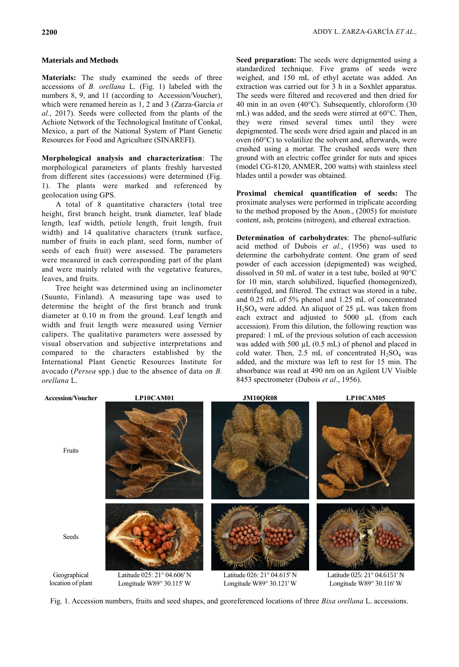### **Materials and Methods**

**Materials:** The study examined the seeds of three accessions of *B. orellana* L. (Fig. 1) labeled with the numbers 8, 9, and 11 (according to Accession/Voucher), which were renamed herein as 1, 2 and 3 [\(Zarza-García](#page-6-1) *et al.*[, 2017\)](#page-6-1). Seeds were collected from the plants of the Achiote Network of the Technological Institute of Conkal, Mexico, a part of the National System of Plant Genetic Resources for Food and Agriculture (SINAREFI).

**Morphological analysis and characterization**: The morphological parameters of plants freshly harvested from different sites (accessions) were determined (Fig. 1). The plants were marked and referenced by geolocation using GPS.

A total of 8 quantitative characters (total tree height, first branch height, trunk diameter, leaf blade length, leaf width, petiole length, fruit length, fruit width) and 14 qualitative characters (trunk surface, number of fruits in each plant, seed form, number of seeds of each fruit) were assessed. The parameters were measured in each corresponding part of the plant and were mainly related with the vegetative features, leaves, and fruits.

Tree height was determined using an inclinometer (Suunto, Finland). A measuring tape was used to determine the height of the first branch and trunk diameter at 0.10 m from the ground. Leaf length and width and fruit length were measured using Vernier calipers. The qualitative parameters were assessed by visual observation and subjective interpretations and compared to the characters established by the International Plant Genetic Resources Institute for avocado (*Persea* spp.) due to the absence of data on *B. orellana* L.

**Seed preparation:** The seeds were depigmented using a standardized technique. Five grams of seeds were weighed, and 150 mL of ethyl acetate was added. An extraction was carried out for 3 h in a Soxhlet apparatus. The seeds were filtered and recovered and then dried for 40 min in an oven (40°C). Subsequently, chloroform (30 mL) was added, and the seeds were stirred at 60°C. Then, they were rinsed several times until they were depigmented. The seeds were dried again and placed in an oven (60°C) to volatilize the solvent and, afterwards, were crushed using a mortar. The crushed seeds were then ground with an electric coffee grinder for nuts and spices (model CG-8120, ANMER, 200 watts) with stainless steel blades until a powder was obtained.

**Proximal chemical quantification of seeds:** The proximate analyses were performed in triplicate according to the method proposed by the [Anon., \(2005\)](#page-5-0) for moisture content, ash, proteins (nitrogen), and ethereal extraction.

**Determination of carbohydrates**: The phenol-sulfuric acid method of Dubois *et al.*[, \(1956\)](#page-5-1) was used to determine the carbohydrate content. One gram of seed powder of each accession (depigmented) was weighed, dissolved in 50 mL of water in a test tube, boiled at 90°C for 10 min, starch solubilized, liquefied (homogenized), centrifuged, and filtered. The extract was stored in a tube, and 0.25 mL of 5% phenol and 1.25 mL of concentrated  $H<sub>2</sub>SO<sub>4</sub>$  were added. An aliquot of 25  $\mu$ L was taken from each extract and adjusted to 5000 µL (from each accession). From this dilution, the following reaction was prepared: 1 mL of the previous solution of each accession was added with 500  $\mu$ L (0.5 mL) of phenol and placed in cold water. Then, 2.5 mL of concentrated  $H_2SO_4$  was added, and the mixture was left to rest for 15 min. The absorbance was read at 490 nm on an Agilent UV Visible 8453 spectrometer [\(Dubois](#page-5-1) *et al*., 1956).



Fig. 1. Accession numbers, fruits and seed shapes, and georeferenced locations of three *Bixa orellana* L. accessions.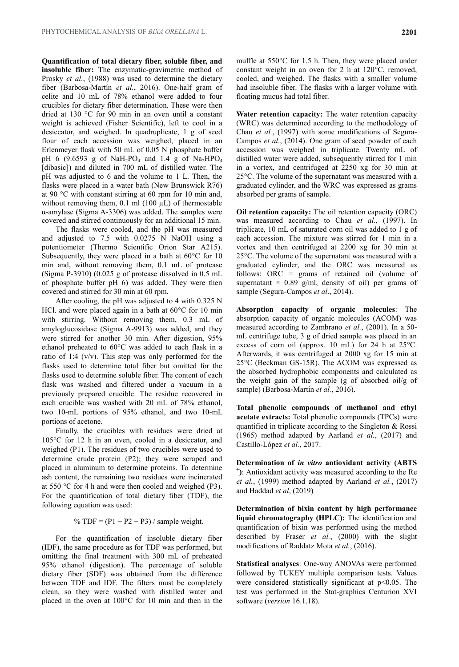**Quantification of total dietary fiber, soluble fiber, and insoluble fiber:** The enzymatic-gravimetric method of Prosky *et al.*[, \(1988\)](#page-6-3) was used to determine the dietary fiber [\(Barbosa-Martín](#page-5-2) *et al.*, 2016). One-half gram of celite and 10 mL of 78% ethanol were added to four crucibles for dietary fiber determination. These were then dried at 130 °C for 90 min in an oven until a constant weight is achieved (Fisher Scientific), left to cool in a desiccator, and weighed. In quadruplicate, 1 g of seed flour of each accession was weighed, placed in an Erlenmeyer flask with 50 mL of 0.05 N phosphate buffer pH 6 (9.6593 g of NaH2PO<sup>4</sup> and 1.4 g of Na2HPO<sup>4</sup> [dibasic]) and diluted in 700 mL of distilled water. The pH was adjusted to 6 and the volume to 1 L. Then, the flasks were placed in a water bath (New Brunswick R76) at 90 °C with constant stirring at 60 rpm for 10 min and, without removing them,  $0.1$  ml (100  $\mu$ L) of thermostable α-amylase (Sigma A-3306) was added. The samples were covered and stirred continuously for an additional 15 min.

The flasks were cooled, and the pH was measured and adjusted to 7.5 with 0.0275 N NaOH using a potentiometer (Thermo Scientific Orion Star A215). Subsequently, they were placed in a bath at 60°C for 10 min and, without removing them, 0.1 mL of protease (Sigma P-3910) (0.025 g of protease dissolved in 0.5 mL of phosphate buffer pH 6) was added. They were then covered and stirred for 30 min at 60 rpm.

After cooling, the pH was adjusted to 4 with 0.325 N HCl. and were placed again in a bath at 60°C for 10 min with stirring. Without removing them, 0.3 mL of amyloglucosidase (Sigma A-9913) was added, and they were stirred for another 30 min. After digestion, 95% ethanol preheated to 60°C was added to each flask in a ratio of 1:4 (v/v). This step was only performed for the flasks used to determine total fiber but omitted for the flasks used to determine soluble fiber. The content of each flask was washed and filtered under a vacuum in a previously prepared crucible. The residue recovered in each crucible was washed with 20 mL of 78% ethanol, two 10-mL portions of 95% ethanol, and two 10-mL portions of acetone.

Finally, the crucibles with residues were dried at 105°C for 12 h in an oven, cooled in a desiccator, and weighed (P1). The residues of two crucibles were used to determine crude protein (P2); they were scraped and placed in aluminum to determine proteins. To determine ash content, the remaining two residues were incinerated at 550 °C for 4 h and were then cooled and weighed (P3). For the quantification of total dietary fiber (TDF), the following equation was used:

% TDF =  $(P1 - P2 - P3)$  / sample weight.

For the quantification of insoluble dietary fiber (IDF), the same procedure as for TDF was performed, but omitting the final treatment with 300 mL of preheated 95% ethanol (digestion). The percentage of soluble dietary fiber (SDF) was obtained from the difference between TDF and IDF. The filters must be completely clean, so they were washed with distilled water and placed in the oven at 100°C for 10 min and then in the

muffle at 550°C for 1.5 h. Then, they were placed under constant weight in an oven for 2 h at 120°C, removed, cooled, and weighed. The flasks with a smaller volume had insoluble fiber. The flasks with a larger volume with floating mucus had total fiber.

**Water retention capacity:** The water retention capacity (WRC) was determined according to the methodology of Chau *et al.*[, \(1997\)](#page-5-3) with some modifications of [Segura-](#page-6-4)Campos *et al.*, (2014). One gram of seed powder of each accession was weighed in triplicate. Twenty mL of distilled water were added, subsequently stirred for 1 min in a vortex, and centrifuged at 2250 xg for 30 min at 25°C. The volume of the supernatant was measured with a graduated cylinder, and the WRC was expressed as grams absorbed per grams of sample.

**Oil retention capacity:** The oil retention capacity (ORC) was measured according to Chau *et al.*[, \(1997\).](#page-5-3) In triplicate, 10 mL of saturated corn oil was added to 1 g of each accession. The mixture was stirred for 1 min in a vortex and then centrifuged at 2200 xg for 30 min at 25°C. The volume of the supernatant was measured with a graduated cylinder, and the ORC was measured as follows: ORC = grams of retained oil (volume of supernatant  $\times$  0.89 g/ml, density of oil) per grams of sample [\(Segura-Campos](#page-6-4) *et al*., 2014).

**Absorption capacity of organic molecules**: The absorption capacity of organic molecules (ACOM) was measured according to [Zambrano](#page-6-5) *et al.*, (2001). In a 50 mL centrifuge tube, 3 g of dried sample was placed in an excess of corn oil (approx. 10 mL) for 24 h at 25°C. Afterwards, it was centrifuged at 2000 xg for 15 min at 25°C (Beckman GS-15R). The ACOM was expressed as the absorbed hydrophobic components and calculated as the weight gain of the sample (g of absorbed oil/g of sample) [\(Barbosa-Martín](#page-5-2) *et al.*, 2016).

**Total phenolic compounds of methanol and ethyl acetate extracts:** Total phenolic compounds (TPCs) were quantified in triplicate according to the [Singleton & Rossi](#page-6-6)  (1965) method adapted by Aarland *et al.*[, \(2017\)](#page-5-4) and Castillo-López *et al.*, 2017.

**Determination of** *in vitro* **antioxidant activity (ABTS + )**: Antioxidant activity was measured according to the [Re](#page-6-7) *et al.*, (1999) method adapted by [Aarland](#page-5-4) *et al.*, (2017) and Haddad *et al*, (2019)

**Determination of bixin content by high performance liquid chromatography (HPLC):** The identification and quantification of bixin was performed using the method described by Fraser *et al.*[, \(2000\)](#page-5-5) with the slight modifications of [Raddatz Mota](#page-6-8) *et al.*, (2016).

**Statistical analyses**: One-way ANOVAs were performed followed by TUKEY multiple comparison tests. Values were considered statistically significant at  $p<0.05$ . The test was performed in the Stat-graphics Centurion XVI software (*version* 16.1.18).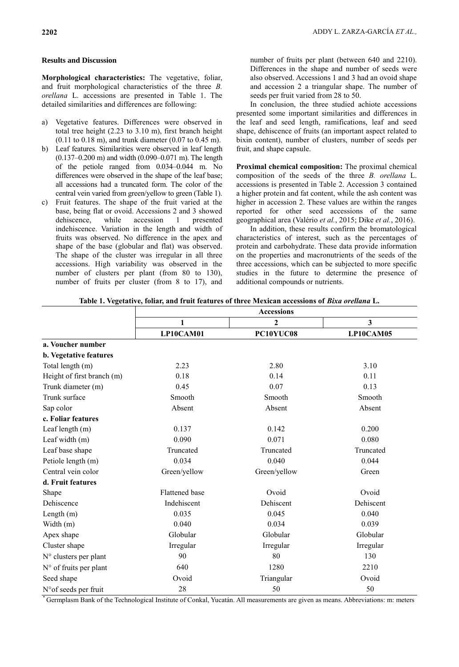#### **Results and Discussion**

**Morphological characteristics:** The vegetative, foliar, and fruit morphological characteristics of the three *B. orellana* L. accessions are presented in Table 1. The detailed similarities and differences are following:

- a) Vegetative features. Differences were observed in total tree height (2.23 to 3.10 m), first branch height (0.11 to 0.18 m), and trunk diameter (0.07 to 0.45 m).
- b) Leaf features. Similarities were observed in leaf length (0.137–0.200 m) and width (0.090–0.071 m). The length of the petiole ranged from 0.034–0.044 m. No differences were observed in the shape of the leaf base; all accessions had a truncated form. The color of the central vein varied from green/yellow to green (Table 1).
- c) Fruit features. The shape of the fruit varied at the base, being flat or ovoid. Accessions 2 and 3 showed dehiscence, while accession 1 presented indehiscence. Variation in the length and width of fruits was observed. No difference in the apex and shape of the base (globular and flat) was observed. The shape of the cluster was irregular in all three accessions. High variability was observed in the number of clusters per plant (from 80 to 130), number of fruits per cluster (from 8 to 17), and

number of fruits per plant (between 640 and 2210). Differences in the shape and number of seeds were also observed. Accessions 1 and 3 had an ovoid shape and accession 2 a triangular shape. The number of seeds per fruit varied from 28 to 50.

In conclusion, the three studied achiote accessions presented some important similarities and differences in the leaf and seed length, ramifications, leaf and seed shape, dehiscence of fruits (an important aspect related to bixin content), number of clusters, number of seeds per fruit, and shape capsule.

**Proximal chemical composition:** The proximal chemical composition of the seeds of the three *B. orellana* L. accessions is presented in Table 2. Accession 3 contained a higher protein and fat content, while the ash content was higher in accession 2. These values are within the ranges reported for other seed accessions of the same geographical area [\(Valério](#page-6-9) *et al.*, 2015; Dike *et al.*[, 2016\)](#page-5-6).

In addition, these results confirm the bromatological characteristics of interest, such as the percentages of protein and carbohydrate. These data provide information on the properties and macronutrients of the seeds of the three accessions, which can be subjected to more specific studies in the future to determine the presence of additional compounds or nutrients.

|  |  | Table 1. Vegetative, foliar, and fruit features of three Mexican accessions of <i>Bixa orellana</i> L. |  |
|--|--|--------------------------------------------------------------------------------------------------------|--|
|  |  |                                                                                                        |  |

|                            | <b>Accessions</b>     |              |           |  |  |
|----------------------------|-----------------------|--------------|-----------|--|--|
|                            | 1                     | 2            | 3         |  |  |
|                            | LP10CAM01             | PC10YUC08    | LP10CAM05 |  |  |
| a. Voucher number          |                       |              |           |  |  |
| b. Vegetative features     |                       |              |           |  |  |
| Total length (m)           | 2.23                  | 2.80         | 3.10      |  |  |
| Height of first branch (m) | 0.18                  | 0.14         | 0.11      |  |  |
| Trunk diameter (m)         | 0.45                  | 0.07         | 0.13      |  |  |
| Trunk surface              | Smooth                | Smooth       | Smooth    |  |  |
| Sap color                  | Absent                | Absent       | Absent    |  |  |
| c. Foliar features         |                       |              |           |  |  |
| Leaf length (m)            | 0.137                 | 0.142        | 0.200     |  |  |
| Leaf width (m)             | 0.090                 | 0.071        | 0.080     |  |  |
| Leaf base shape            | Truncated             | Truncated    | Truncated |  |  |
| Petiole length (m)         | 0.034                 | 0.040        | 0.044     |  |  |
| Central vein color         | Green/yellow          | Green/yellow | Green     |  |  |
| d. Fruit features          |                       |              |           |  |  |
| Shape                      | <b>Flattened</b> base | Ovoid        | Ovoid     |  |  |
| Dehiscence                 | Indehiscent           | Dehiscent    | Dehiscent |  |  |
| Length $(m)$               | 0.035                 | 0.045        | 0.040     |  |  |
| Width (m)                  | 0.040                 | 0.034        | 0.039     |  |  |
| Apex shape                 | Globular              | Globular     | Globular  |  |  |
| Cluster shape              | Irregular             | Irregular    | Irregular |  |  |
| N° clusters per plant      | 90                    | 80           | 130       |  |  |
| N° of fruits per plant     | 640                   | 1280         | 2210      |  |  |
| Seed shape                 | Ovoid                 | Triangular   | Ovoid     |  |  |
| N° of seeds per fruit      | 28                    | 50           | 50        |  |  |

\* Germplasm Bank of the Technological Institute of Conkal, Yucatán. All measurements are given as means. Abbreviations: m: meters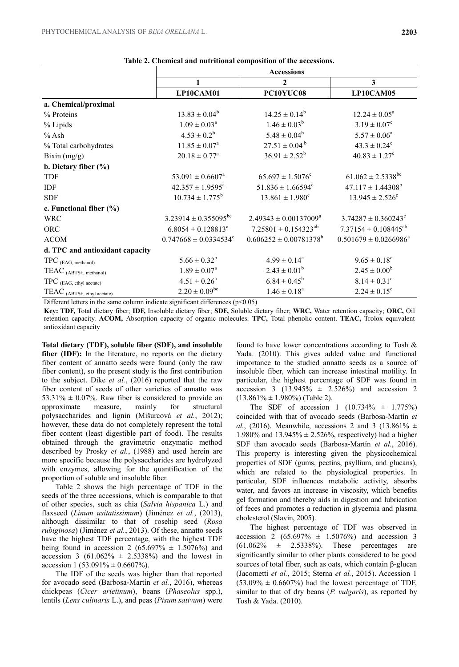|                                 | <b>Accessions</b>                |                                   |                                     |  |
|---------------------------------|----------------------------------|-----------------------------------|-------------------------------------|--|
|                                 | 1                                | $\boldsymbol{2}$                  | 3                                   |  |
|                                 | LP10CAM01                        | PC10YUC08                         | LP10CAM05                           |  |
| a. Chemical/proximal            |                                  |                                   |                                     |  |
| % Proteins                      | $13.83 \pm 0.04^b$               | $14.25 \pm 0.14^b$                | $12.24 \pm 0.05^a$                  |  |
| % Lipids                        | $1.09 \pm 0.03^a$                | $1.46 \pm 0.03^b$                 | $3.19 \pm 0.07^c$                   |  |
| $%$ Ash                         | $4.53 \pm 0.2^b$                 | $5.48 \pm 0.04^b$                 | $5.57 \pm 0.06^a$                   |  |
| % Total carbohydrates           | $11.85 \pm 0.07^{\rm a}$         | $27.51 \pm 0.04^{\mathrm{b}}$     | $43.3 \pm 0.24^c$                   |  |
| Bixin $(mg/g)$                  | $20.18 \pm 0.77^a$               | $36.91 \pm 2.52^b$                | $40.83 \pm 1.27$ <sup>c</sup>       |  |
| b. Dietary fiber $(\% )$        |                                  |                                   |                                     |  |
| <b>TDF</b>                      | $53.091 \pm 0.6607$ <sup>a</sup> | $65.697 \pm 1.5076$ °             | $61.062 \pm 2.5338$ <sup>bc</sup>   |  |
| IDF                             | $42.357 \pm 1.9595^{\text{a}}$   | $51.836 \pm 1.66594$ <sup>c</sup> | $47.117 \pm 1.44308^b$              |  |
| <b>SDF</b>                      | $10.734 \pm 1.775^b$             | $13.861 \pm 1.980^{\circ}$        | $13.945 \pm 2.526$ <sup>c</sup>     |  |
| c. Functional fiber $(\% )$     |                                  |                                   |                                     |  |
| <b>WRC</b>                      | $3.23914 \pm 0.355095^{bc}$      | $2.49343 \pm 0.00137009^a$        | $3.74287 \pm 0.360243$ <sup>c</sup> |  |
| ORC                             | $6.8054 \pm 0.128813^a$          | $7.25801 \pm 0.154323^{ab}$       | $7.37154 \pm 0.108445^{ab}$         |  |
| <b>ACOM</b>                     | $0.747668 \pm 0.0334534^{\circ}$ | $0.606252 \pm 0.00781378^b$       | $0.501679 \pm 0.0266986^a$          |  |
| d. TPC and antioxidant capacity |                                  |                                   |                                     |  |
| $TPC$ (EAG, methanol)           | $5.66 \pm 0.32^b$                | $4.99 \pm 0.14^a$                 | $9.65 \pm 0.18^{\circ}$             |  |
| $TEAC$ (ABTS+, methanol)        | $1.89 \pm 0.07^{\rm a}$          | $2.43 \pm 0.01^b$                 | $2.45 \pm 0.00^b$                   |  |
| TPC (EAG, ethyl acetate)        | $4.51 \pm 0.26^a$                | $6.84 \pm 0.45^b$                 | $8.14 \pm 0.31^c$                   |  |
| TEAC (ABTS+, ethyl acetate)     | $2.20 \pm 0.09^{bc}$             | $1.46 \pm 0.18^a$                 | $2.24 \pm 0.15^{\circ}$             |  |

**Table 2. Chemical and nutritional composition of the accessions.**

Different letters in the same column indicate significant differences  $(p<0.05)$ 

**Key: TDF,** Total dietary fiber; **IDF,** Insoluble dietary fiber; **SDF,** Soluble dietary fiber; **WRC,** Water retention capacity; **ORC,** Oil retention capacity. **ACOM,** Absorption capacity of organic molecules. **TPC,** Total phenolic content. **TEAC,** Trolox equivalent antioxidant capacity

**Total dietary (TDF), soluble fiber (SDF), and insoluble fiber (IDF):** In the literature, no reports on the dietary fiber content of annatto seeds were found (only the raw fiber content), so the present study is the first contribution to the subject. Dike *et al.*[, \(2016\)](#page-5-6) reported that the raw fiber content of seeds of other varieties of annatto was 53.31%  $\pm$  0.07%. Raw fiber is considered to provide an approximate measure, mainly for structural polysaccharides and lignin [\(Mišurcová](#page-6-10) *et al.*, 2012); however, these data do not completely represent the total fiber content (least digestible part of food). The results obtained through the gravimetric enzymatic method described by Prosky *et al.*[, \(1988\)](#page-6-3) and used herein are more specific because the polysaccharides are hydrolyzed with enzymes, allowing for the quantification of the proportion of soluble and insoluble fiber.

Table 2 shows the high percentage of TDF in the seeds of the three accessions, which is comparable to that of other species, such as chia (*Salvia hispanica* L.) and flaxseed (*Linum usitatissimum*) (Jiménez *et al.*[, \(2013\),](#page-6-11) although dissimilar to that of rosehip seed (*Rosa rubiginosa*) [\(Jiménez](#page-6-11) *et al.*, 2013). Of these, annatto seeds have the highest TDF percentage, with the highest TDF being found in accession 2 (65.697%  $\pm$  1.5076%) and accession 3 (61.062%  $\pm$  2.5338%) and the lowest in accession 1 (53.091%  $\pm$  0.6607%).

The IDF of the seeds was higher than that reported for avocado seed [\(Barbosa-Martín](#page-5-2) *et al.*, 2016), whereas chickpeas (*Cicer arietinum*), beans (*Phaseolus* spp.), lentils (*Lens culinaris* L.), and peas (*Pisum sativum*) were

found to have lower concentrations according to [Tosh &](#page-6-12)  Yada. (2010). This gives added value and functional importance to the studied annatto seeds as a source of insoluble fiber, which can increase intestinal motility. In particular, the highest percentage of SDF was found in accession 3 (13.945%  $\pm$  2.526%) and accession 2  $(13.861\% \pm 1.980\%)$  (Table 2).

The SDF of accession 1  $(10.734\% \pm 1.775\%)$ coincided with that of avocado seeds [\(Barbosa-Martín](#page-5-2) *et al.*, (2016). Meanwhile, accessions 2 and 3 (13.861%  $\pm$ 1.980% and  $13.945% \pm 2.526%$ , respectively) had a higher SDF than avocado seeds [\(Barbosa-Martín](#page-5-2) *et al.*, 2016). This property is interesting given the physicochemical properties of SDF (gums, pectins, psyllium, and glucans), which are related to the physiological properties. In particular, SDF influences metabolic activity, absorbs water, and favors an increase in viscosity, which benefits gel formation and thereby aids in digestion and lubrication of feces and promotes a reduction in glycemia and plasma cholesterol [\(Slavin, 2005\)](#page-6-13).

The highest percentage of TDF was observed in accession 2 (65.697%  $\pm$  1.5076%) and accession 3  $(61.062\% \pm 2.5338\%).$  These percentages are significantly similar to other plants considered to be good sources of total fiber, such as oats, which contain β-glucan [\(Jacometti](#page-6-14) *et al.*, 2015; Sterna *et al.*[, 2015\)](#page-6-15). Accession 1  $(53.09\% \pm 0.6607\%)$  had the lowest percentage of TDF, similar to that of dry beans (*P. vulgaris*), as reported by [Tosh & Yada. \(2010\).](#page-6-12)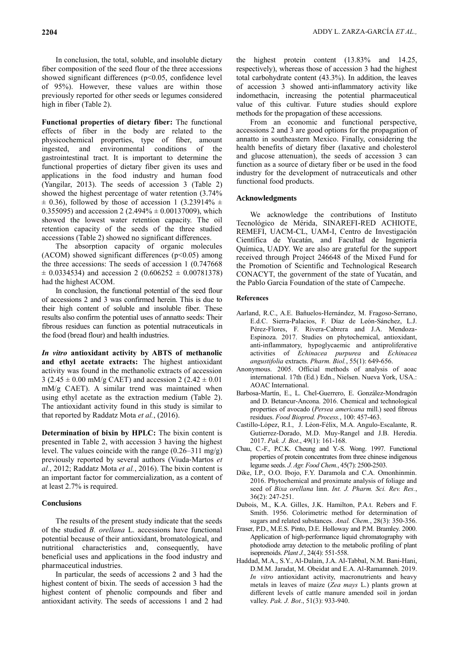In conclusion, the total, soluble, and insoluble dietary fiber composition of the seed flour of the three accessions showed significant differences (p<0.05, confidence level of 95%). However, these values are within those previously reported for other seeds or legumes considered high in fiber (Table 2).

**Functional properties of dietary fiber:** The functional effects of fiber in the body are related to the physicochemical properties, type of fiber, amount ingested, and environmental conditions of the gastrointestinal tract. It is important to determine the functional properties of dietary fiber given its uses and applications in the food industry and human food [\(Yangilar, 2013\)](#page-6-16). The seeds of accession 3 (Table 2) showed the highest percentage of water retention (3.74%  $\pm$  0.36), followed by those of accession 1 (3.23914%  $\pm$ 0.355095) and accession 2 (2.494%  $\pm$  0.00137009), which showed the lowest water retention capacity. The oil retention capacity of the seeds of the three studied accessions (Table 2) showed no significant differences.

The absorption capacity of organic molecules (ACOM) showed significant differences (p˂0.05) among the three accessions: The seeds of accession 1 (0.747668  $\pm$  0.0334534) and accession 2 (0.606252  $\pm$  0.00781378) had the highest ACOM.

In conclusion, the functional potential of the seed flour of accessions 2 and 3 was confirmed herein. This is due to their high content of soluble and insoluble fiber. These results also confirm the potential uses of annatto seeds: Their fibrous residues can function as potential nutraceuticals in the food (bread flour) and health industries.

*In vitro* **antioxidant activity by ABTS of methanolic and ethyl acetate extracts:** The highest antioxidant activity was found in the methanolic extracts of accession 3 (2.45  $\pm$  0.00 mM/g CAET) and accession 2 (2.42  $\pm$  0.01 mM/g CAET). A similar trend was maintained when using ethyl acetate as the extraction medium (Table 2). The antioxidant activity found in this study is similar to that reported by [Raddatz Mota](#page-6-8) *et al.*, (2016).

**Determination of bixin by HPLC:** The bixin content is presented in Table 2, with accession 3 having the highest level. The values coincide with the range (0.26–311 mg/g) previously reported by several authors (Viuda‐[Martos](#page-6-17) *et al.*[, 2012;](#page-6-17) [Raddatz Mota](#page-6-8) *et al.*, 2016). The bixin content is an important factor for commercialization, as a content of at least 2.7% is required.

### **Conclusions**

The results of the present study indicate that the seeds of the studied *B. orellana* L. accessions have functional potential because of their antioxidant, bromatological, and nutritional characteristics and, consequently, have beneficial uses and applications in the food industry and pharmaceutical industries.

In particular, the seeds of accessions 2 and 3 had the highest content of bixin. The seeds of accession 3 had the highest content of phenolic compounds and fiber and antioxidant activity. The seeds of accessions 1 and 2 had

the highest protein content (13.83% and 14.25, respectively), whereas those of accession 3 had the highest total carbohydrate content (43.3%). In addition, the leaves of accession 3 showed anti-inflammatory activity like indomethacin, increasing the potential pharmaceutical value of this cultivar. Future studies should explore methods for the propagation of these accessions.

From an economic and functional perspective, accessions 2 and 3 are good options for the propagation of annatto in southeastern Mexico. Finally, considering the health benefits of dietary fiber (laxative and cholesterol and glucose attenuation), the seeds of accession 3 can function as a source of dietary fiber or be used in the food industry for the development of nutraceuticals and other functional food products.

#### **Acknowledgments**

We acknowledge the contributions of Instituto Tecnológico de Mérida, SINAREFI-RED ACHIOTE, REMEFI, UACM-CL, UAM-I, Centro de Investigación Científica de Yucatán, and Facultad de Ingeniería Química, UADY. We are also are grateful for the support received through Project 246648 of the Mixed Fund for the Promotion of Scientific and Technological Research CONACYT, the government of the state of Yucatán, and the Pablo Garcia Foundation of the state of Campeche.

#### **References**

- <span id="page-5-4"></span>Aarland, R.C., A.E. Bañuelos-Hernández, M. Fragoso-Serrano, E.d.C. Sierra-Palacios, F. Díaz de León-Sánchez, L.J. Pérez-Flores, F. Rivera-Cabrera and J.A. Mendoza-Espinoza. 2017. Studies on phytochemical, antioxidant, anti-inflammatory, hypoglycaemic and antiproliferative activities of *Echinacea purpurea* and *Echinacea angustifolia* extracts. *Pharm. Biol.*, 55(1): 649-656.
- <span id="page-5-0"></span>Anonymous. 2005. Official methods of analysis of aoac international. 17th (Ed.) Edn., Nielsen. Nueva York, USA.: AOAC International.
- <span id="page-5-2"></span>Barbosa-Martín, E., L. Chel-Guerrero, E. González-Mondragón and D. Betancur-Ancona. 2016. Chemical and technological properties of avocado (*Persea americana* mill.) seed fibrous residues. *Food Bioprod. Process.*, 100: 457-463.
- Castillo-López, R.I., J. Léon-Félix, M.A. Angulo-Escalante, R. Gutierrez-Dorado, M.D. Muy-Rangel and J.B. Heredia. 2017. *Pak. J. Bot*., 49(1): 161-168.
- <span id="page-5-3"></span>Chau, C.-F., P.C.K. Cheung and Y.-S. Wong. 1997. Functional properties of protein concentrates from three chinese indigenous legume seeds. *J. Agr. Food Chem.*, 45(7): 2500-2503.
- <span id="page-5-6"></span>Dike, I.P., O.O. Ibojo, F.Y. Daramola and C.A. Omonhinmin. 2016. Phytochemical and proximate analysis of foliage and seed of *Bixa orellana* linn. *Int. J. Pharm. Sci. Rev. Res.*, 36(2): 247-251.
- <span id="page-5-1"></span>Dubois, M., K.A. Gilles, J.K. Hamilton, P.A.t. Rebers and F. Smith. 1956. Colorimetric method for determination of sugars and related substances. *Anal. Chem.*, 28(3): 350-356.
- <span id="page-5-5"></span>Fraser, P.D., M.E.S. Pinto, D.E. Holloway and P.M. Bramley. 2000. Application of high‐performance liquid chromatography with photodiode array detection to the metabolic profiling of plant isoprenoids. *Plant J.*, 24(4): 551-558.
- Haddad, M.A., S.Y., Al-Dalain, J.A. Al-Tabbal, N.M. Bani-Hani, D.M.M. Jaradat, M. Obeidat and E.A. Al-Ramamneh. 2019. *In vitro* antioxidant activity, macronutrients and heavy metals in leaves of maize (*Zea mays* L.) plants grown at different levels of cattle manure amended soil in jordan valley. *Pak. J. Bot*., 51(3): 933-940.